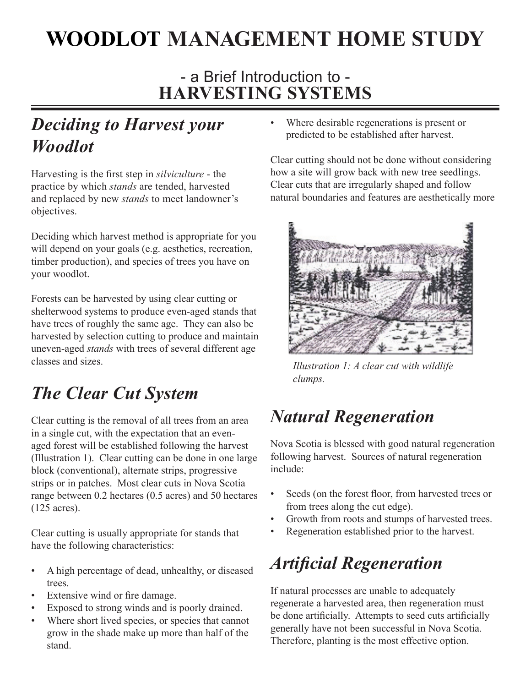# **WOODLOT MANAGEMENT HOME STUDY**

### - a Brief Introduction to - **HARVESTING SYSTEMS**

### *Deciding to Harvest your Woodlot*

Harvesting is the first step in *silviculture* - the practice by which *stands* are tended, harvested and replaced by new *stands* to meet landowner's objectives.

Deciding which harvest method is appropriate for you will depend on your goals (e.g. aesthetics, recreation, timber production), and species of trees you have on your woodlot.

Forests can be harvested by using clear cutting or shelterwood systems to produce even-aged stands that have trees of roughly the same age. They can also be harvested by selection cutting to produce and maintain uneven-aged *stands* with trees of several different age classes and sizes.

## *The Clear Cut System*

Clear cutting is the removal of all trees from an area in a single cut, with the expectation that an evenaged forest will be established following the harvest (Illustration 1). Clear cutting can be done in one large block (conventional), alternate strips, progressive strips or in patches. Most clear cuts in Nova Scotia range between 0.2 hectares (0.5 acres) and 50 hectares (125 acres).

Clear cutting is usually appropriate for stands that have the following characteristics:

- A high percentage of dead, unhealthy, or diseased trees. •
- Extensive wind or fire damage. •
- Exposed to strong winds and is poorly drained. •
- Where short lived species, or species that cannot grow in the shade make up more than half of the stand. •

Where desirable regenerations is present or predicted to be established after harvest. •

Clear cutting should not be done without considering how a site will grow back with new tree seedlings. Clear cuts that are irregularly shaped and follow natural boundaries and features are aesthetically more



*Illustration 1: A clear cut with wildlife clumps.*

## *Natural Regeneration*

Nova Scotia is blessed with good natural regeneration following harvest. Sources of natural regeneration include:

- Seeds (on the forest floor, from harvested trees or from trees along the cut edge). •
- Growth from roots and stumps of harvested trees. •
- Regeneration established prior to the harvest. •

# *Artificial Regeneration*

If natural processes are unable to adequately regenerate a harvested area, then regeneration must be done artificially. Attempts to seed cuts artificially generally have not been successful in Nova Scotia. Therefore, planting is the most effective option.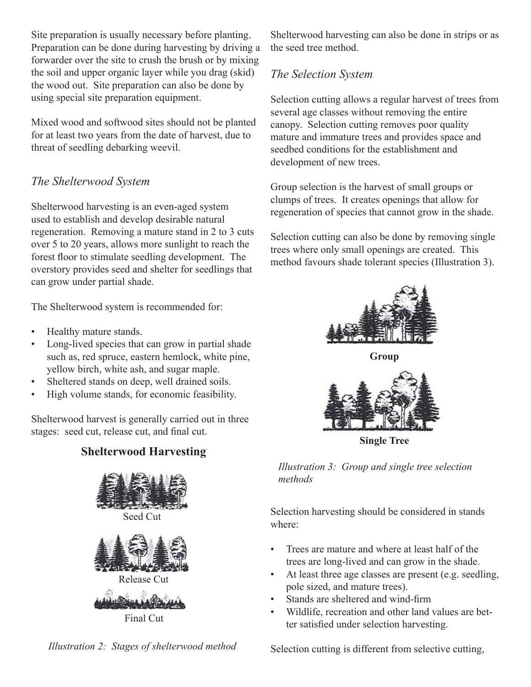Site preparation is usually necessary before planting. Preparation can be done during harvesting by driving a forwarder over the site to crush the brush or by mixing the soil and upper organic layer while you drag (skid) the wood out. Site preparation can also be done by using special site preparation equipment.

Mixed wood and softwood sites should not be planted for at least two years from the date of harvest, due to threat of seedling debarking weevil.

#### *The Shelterwood System*

Shelterwood harvesting is an even-aged system used to establish and develop desirable natural regeneration. Removing a mature stand in 2 to 3 cuts over 5 to 20 years, allows more sunlight to reach the forest floor to stimulate seedling development. The overstory provides seed and shelter for seedlings that can grow under partial shade.

The Shelterwood system is recommended for:

- Healthy mature stands. •
- Long-lived species that can grow in partial shade such as, red spruce, eastern hemlock, white pine, yellow birch, white ash, and sugar maple. •
- Sheltered stands on deep, well drained soils. •
- High volume stands, for economic feasibility. •

Shelterwood harvest is generally carried out in three stages: seed cut, release cut, and final cut.

#### **Shelterwood Harvesting**



Final Cut



Shelterwood harvesting can also be done in strips or as the seed tree method.

#### *The Selection System*

Selection cutting allows a regular harvest of trees from several age classes without removing the entire canopy. Selection cutting removes poor quality mature and immature trees and provides space and seedbed conditions for the establishment and development of new trees.

Group selection is the harvest of small groups or clumps of trees. It creates openings that allow for regeneration of species that cannot grow in the shade.

Selection cutting can also be done by removing single trees where only small openings are created. This method favours shade tolerant species (Illustration 3).



**Group**



**Single Tree**

*Illustration 3: Group and single tree selection methods*

Selection harvesting should be considered in stands where:

- Trees are mature and where at least half of the trees are long-lived and can grow in the shade. •
- At least three age classes are present (e.g. seedling, pole sized, and mature trees). •
- Stands are sheltered and wind-firm •
- Wildlife, recreation and other land values are better satisfied under selection harvesting. •

Selection cutting is different from selective cutting,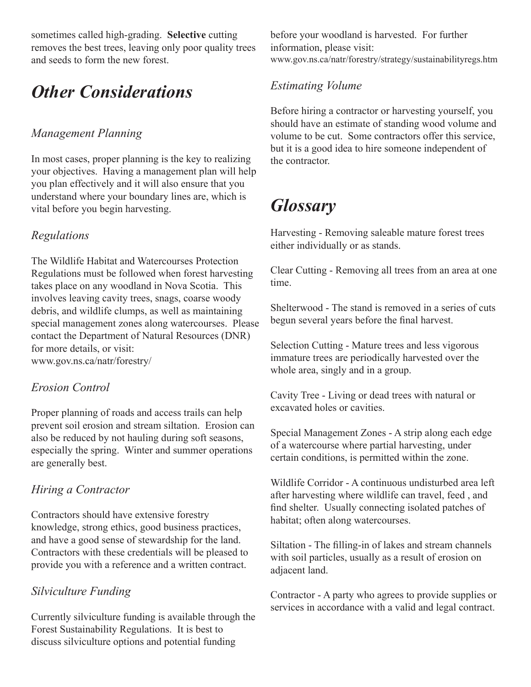sometimes called high-grading. **Selective** cutting removes the best trees, leaving only poor quality trees and seeds to form the new forest.

## *Other Considerations*

#### *Management Planning*

In most cases, proper planning is the key to realizing your objectives. Having a management plan will help you plan effectively and it will also ensure that you understand where your boundary lines are, which is vital before you begin harvesting.

#### *Regulations*

The Wildlife Habitat and Watercourses Protection Regulations must be followed when forest harvesting takes place on any woodland in Nova Scotia. This involves leaving cavity trees, snags, coarse woody debris, and wildlife clumps, as well as maintaining special management zones along watercourses. Please contact the Department of Natural Resources (DNR) for more details, or visit: www.gov.ns.ca/natr/forestry/

#### *Erosion Control*

Proper planning of roads and access trails can help prevent soil erosion and stream siltation. Erosion can also be reduced by not hauling during soft seasons, especially the spring. Winter and summer operations are generally best.

#### *Hiring a Contractor*

Contractors should have extensive forestry knowledge, strong ethics, good business practices, and have a good sense of stewardship for the land. Contractors with these credentials will be pleased to provide you with a reference and a written contract.

#### *Silviculture Funding*

Currently silviculture funding is available through the Forest Sustainability Regulations. It is best to discuss silviculture options and potential funding

before your woodland is harvested. For further information, please visit: www.gov.ns.ca/natr/forestry/strategy/sustainabilityregs.htm

#### *Estimating Volume*

Before hiring a contractor or harvesting yourself, you should have an estimate of standing wood volume and volume to be cut. Some contractors offer this service, but it is a good idea to hire someone independent of the contractor.

### *Glossary*

Harvesting - Removing saleable mature forest trees either individually or as stands.

Clear Cutting - Removing all trees from an area at one time.

Shelterwood - The stand is removed in a series of cuts begun several years before the final harvest.

Selection Cutting - Mature trees and less vigorous immature trees are periodically harvested over the whole area, singly and in a group.

Cavity Tree - Living or dead trees with natural or excavated holes or cavities.

Special Management Zones - A strip along each edge of a watercourse where partial harvesting, under certain conditions, is permitted within the zone.

Wildlife Corridor - A continuous undisturbed area left after harvesting where wildlife can travel, feed , and find shelter. Usually connecting isolated patches of habitat; often along watercourses.

Siltation - The filling-in of lakes and stream channels with soil particles, usually as a result of erosion on adjacent land.

Contractor - A party who agrees to provide supplies or services in accordance with a valid and legal contract.